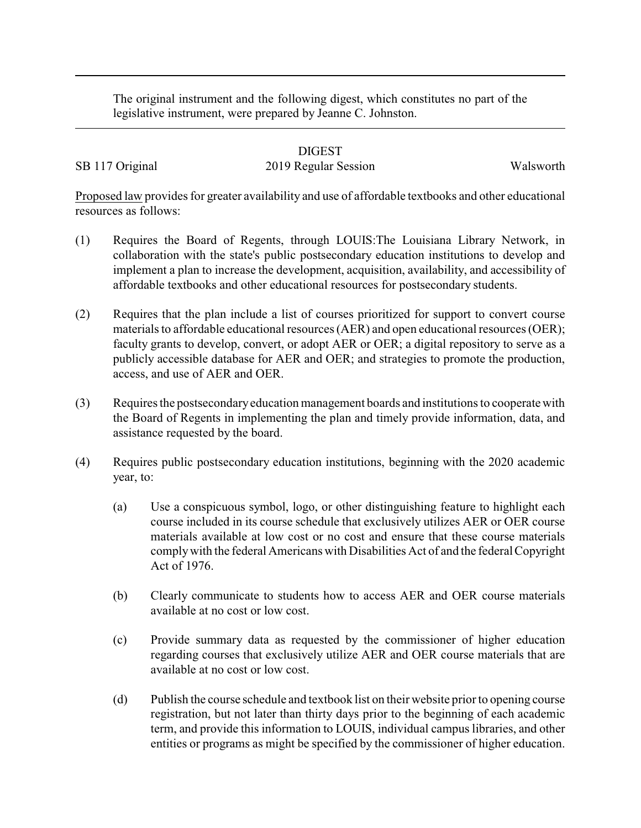The original instrument and the following digest, which constitutes no part of the legislative instrument, were prepared by Jeanne C. Johnston.

## DIGEST

## SB 117 Original 2019 Regular Session Walsworth

Proposed law provides for greater availability and use of affordable textbooks and other educational resources as follows:

- (1) Requires the Board of Regents, through LOUIS:The Louisiana Library Network, in collaboration with the state's public postsecondary education institutions to develop and implement a plan to increase the development, acquisition, availability, and accessibility of affordable textbooks and other educational resources for postsecondary students.
- (2) Requires that the plan include a list of courses prioritized for support to convert course materials to affordable educational resources (AER) and open educational resources (OER); faculty grants to develop, convert, or adopt AER or OER; a digital repository to serve as a publicly accessible database for AER and OER; and strategies to promote the production, access, and use of AER and OER.
- (3) Requires the postsecondaryeducation management boards and institutions to cooperate with the Board of Regents in implementing the plan and timely provide information, data, and assistance requested by the board.
- (4) Requires public postsecondary education institutions, beginning with the 2020 academic year, to:
	- (a) Use a conspicuous symbol, logo, or other distinguishing feature to highlight each course included in its course schedule that exclusively utilizes AER or OER course materials available at low cost or no cost and ensure that these course materials complywith the federal Americans with Disabilities Act of and the federal Copyright Act of 1976.
	- (b) Clearly communicate to students how to access AER and OER course materials available at no cost or low cost.
	- (c) Provide summary data as requested by the commissioner of higher education regarding courses that exclusively utilize AER and OER course materials that are available at no cost or low cost.
	- (d) Publish the course schedule and textbook list on their website prior to opening course registration, but not later than thirty days prior to the beginning of each academic term, and provide this information to LOUIS, individual campus libraries, and other entities or programs as might be specified by the commissioner of higher education.